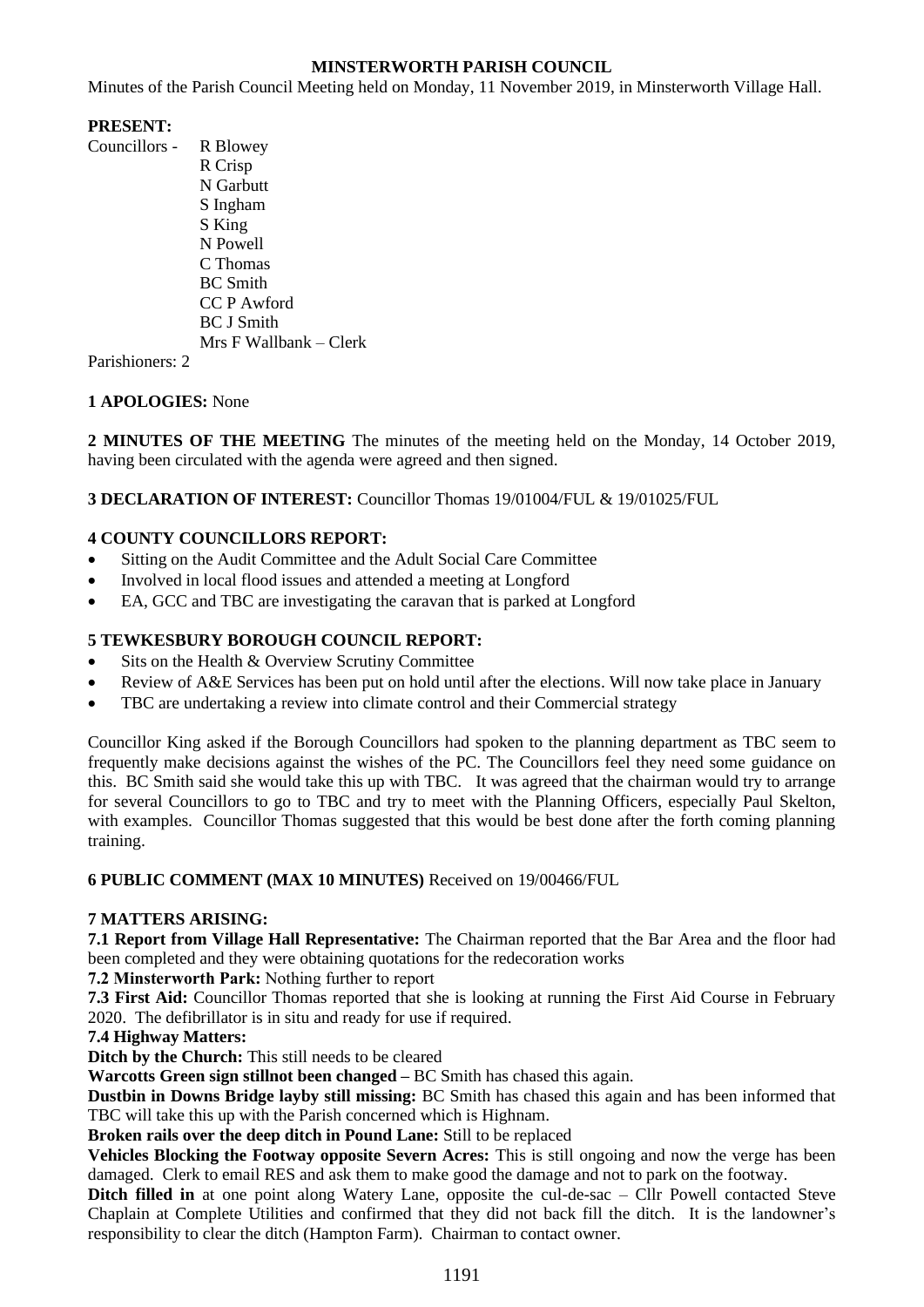## **MINSTERWORTH PARISH COUNCIL**

Minutes of the Parish Council Meeting held on Monday, 11 November 2019, in Minsterworth Village Hall.

## **PRESENT:**

Councillors - R Blowey R Crisp N Garbutt S Ingham S King N Powell C Thomas BC Smith CC P Awford BC J Smith Mrs F Wallbank – Clerk

Parishioners: 2

# **1 APOLOGIES:** None

**2 MINUTES OF THE MEETING** The minutes of the meeting held on the Monday, 14 October 2019, having been circulated with the agenda were agreed and then signed.

# **3 DECLARATION OF INTEREST:** Councillor Thomas 19/01004/FUL & 19/01025/FUL

## **4 COUNTY COUNCILLORS REPORT:**

- Sitting on the Audit Committee and the Adult Social Care Committee
- Involved in local flood issues and attended a meeting at Longford
- EA, GCC and TBC are investigating the caravan that is parked at Longford

# **5 TEWKESBURY BOROUGH COUNCIL REPORT:**

- Sits on the Health & Overview Scrutiny Committee
- Review of A&E Services has been put on hold until after the elections. Will now take place in January
- TBC are undertaking a review into climate control and their Commercial strategy

Councillor King asked if the Borough Councillors had spoken to the planning department as TBC seem to frequently make decisions against the wishes of the PC. The Councillors feel they need some guidance on this. BC Smith said she would take this up with TBC. It was agreed that the chairman would try to arrange for several Councillors to go to TBC and try to meet with the Planning Officers, especially Paul Skelton, with examples. Councillor Thomas suggested that this would be best done after the forth coming planning training.

**6 PUBLIC COMMENT (MAX 10 MINUTES)** Received on 19/00466/FUL

### **7 MATTERS ARISING:**

**7.1 Report from Village Hall Representative:** The Chairman reported that the Bar Area and the floor had been completed and they were obtaining quotations for the redecoration works

**7.2 Minsterworth Park:** Nothing further to report

**7.3 First Aid:** Councillor Thomas reported that she is looking at running the First Aid Course in February 2020. The defibrillator is in situ and ready for use if required.

### **7.4 Highway Matters:**

**Ditch by the Church:** This still needs to be cleared

**Warcotts Green sign stillnot been changed –** BC Smith has chased this again.

**Dustbin in Downs Bridge layby still missing:** BC Smith has chased this again and has been informed that TBC will take this up with the Parish concerned which is Highnam.

**Broken rails over the deep ditch in Pound Lane:** Still to be replaced

**Vehicles Blocking the Footway opposite Severn Acres:** This is still ongoing and now the verge has been damaged. Clerk to email RES and ask them to make good the damage and not to park on the footway.

**Ditch filled in** at one point along Watery Lane, opposite the cul-de-sac – Cllr Powell contacted Steve Chaplain at Complete Utilities and confirmed that they did not back fill the ditch. It is the landowner's responsibility to clear the ditch (Hampton Farm). Chairman to contact owner.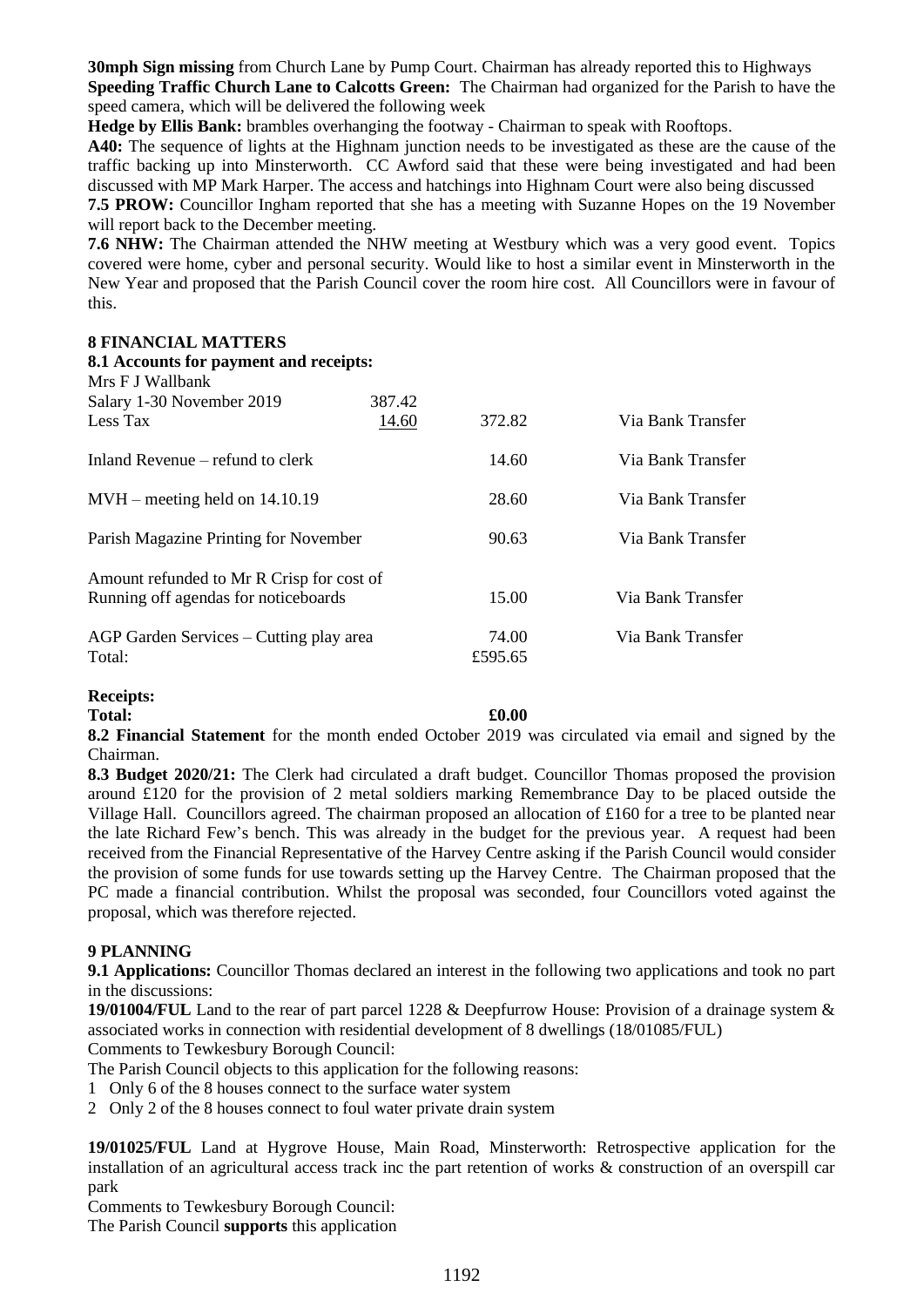**30mph Sign missing** from Church Lane by Pump Court. Chairman has already reported this to Highways **Speeding Traffic Church Lane to Calcotts Green:** The Chairman had organized for the Parish to have the speed camera, which will be delivered the following week

**Hedge by Ellis Bank:** brambles overhanging the footway - Chairman to speak with Rooftops.

**A40:** The sequence of lights at the Highnam junction needs to be investigated as these are the cause of the traffic backing up into Minsterworth. CC Awford said that these were being investigated and had been discussed with MP Mark Harper. The access and hatchings into Highnam Court were also being discussed **7.5 PROW:** Councillor Ingham reported that she has a meeting with Suzanne Hopes on the 19 November

will report back to the December meeting.

**7.6 NHW:** The Chairman attended the NHW meeting at Westbury which was a very good event. Topics covered were home, cyber and personal security. Would like to host a similar event in Minsterworth in the New Year and proposed that the Parish Council cover the room hire cost. All Councillors were in favour of this.

#### **8 FINANCIAL MATTERS**

| 8.1 Accounts for payment and receipts:<br>Mrs F J Wallbank |        |         |                   |
|------------------------------------------------------------|--------|---------|-------------------|
| Salary 1-30 November 2019                                  | 387.42 |         |                   |
| Less Tax                                                   | 14.60  | 372.82  | Via Bank Transfer |
| Inland Revenue – refund to clerk                           |        | 14.60   | Via Bank Transfer |
| $MVH$ – meeting held on 14.10.19                           |        | 28.60   | Via Bank Transfer |
| Parish Magazine Printing for November                      |        | 90.63   | Via Bank Transfer |
| Amount refunded to Mr R Crisp for cost of                  |        |         |                   |
| Running off agendas for noticeboards                       |        | 15.00   | Via Bank Transfer |
| AGP Garden Services – Cutting play area                    |        | 74.00   | Via Bank Transfer |
| Total:                                                     |        | £595.65 |                   |

### **Receipts:**

### **Total: £0.00**

**8.2 Financial Statement** for the month ended October 2019 was circulated via email and signed by the Chairman.

**8.3 Budget 2020/21:** The Clerk had circulated a draft budget. Councillor Thomas proposed the provision around £120 for the provision of 2 metal soldiers marking Remembrance Day to be placed outside the Village Hall. Councillors agreed. The chairman proposed an allocation of  $\pounds 160$  for a tree to be planted near the late Richard Few's bench. This was already in the budget for the previous year. A request had been received from the Financial Representative of the Harvey Centre asking if the Parish Council would consider the provision of some funds for use towards setting up the Harvey Centre. The Chairman proposed that the PC made a financial contribution. Whilst the proposal was seconded, four Councillors voted against the proposal, which was therefore rejected.

### **9 PLANNING**

**9.1 Applications:** Councillor Thomas declared an interest in the following two applications and took no part in the discussions:

**19/01004/FUL** Land to the rear of part parcel 1228 & Deepfurrow House: Provision of a drainage system & associated works in connection with residential development of 8 dwellings (18/01085/FUL)

Comments to Tewkesbury Borough Council:

The Parish Council objects to this application for the following reasons:

- 1 Only 6 of the 8 houses connect to the surface water system
- 2 Only 2 of the 8 houses connect to foul water private drain system

**19/01025/FUL** Land at Hygrove House, Main Road, Minsterworth: Retrospective application for the installation of an agricultural access track inc the part retention of works & construction of an overspill car park

Comments to Tewkesbury Borough Council:

The Parish Council **supports** this application